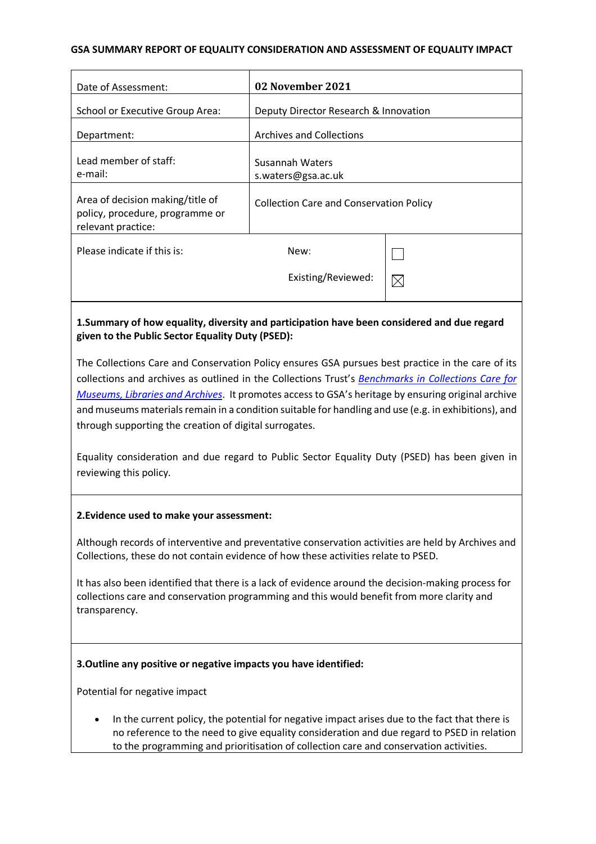### **GSA SUMMARY REPORT OF EQUALITY CONSIDERATION AND ASSESSMENT OF EQUALITY IMPACT**

| Date of Assessment:                                                                       | 02 November 2021                                                                                                 |             |
|-------------------------------------------------------------------------------------------|------------------------------------------------------------------------------------------------------------------|-------------|
| School or Executive Group Area:                                                           | Deputy Director Research & Innovation                                                                            |             |
| Department:                                                                               | <b>Archives and Collections</b>                                                                                  |             |
| Lead member of staff:<br>e-mail:                                                          | Susannah Waters<br>s.waters@gsa.ac.uk                                                                            |             |
| Area of decision making/title of<br>policy, procedure, programme or<br>relevant practice: | <b>Collection Care and Conservation Policy</b>                                                                   |             |
| Please indicate if this is:                                                               | New:                                                                                                             |             |
|                                                                                           | Existing/Reviewed:                                                                                               | $\boxtimes$ |
|                                                                                           | A base of the contract of the second complete states of the contract of the second second contract of the second |             |

## **1.Summary of how equality, diversity and participation have been considered and due regard given to the Public Sector Equality Duty (PSED):**

The Collections Care and Conservation Policy ensures GSA pursues best practice in the care of its collections and archives as outlined in the Collections Trust's *Benchmarks in Collections Care for Museums, Libraries and Archives*. It promotes access to GSA's heritage by ensuring original archive and museums materials remain in a condition suitable for handling and use (e.g. in exhibitions), and through supporting the creation of digital surrogates.

Equality consideration and due regard to Public Sector Equality Duty (PSED) has been given in reviewing this policy.

#### **2.Evidence used to make your assessment:**

Although records of interventive and preventative conservation activities are held by Archives and Collections, these do not contain evidence of how these activities relate to PSED.

It has also been identified that there is a lack of evidence around the decision-making process for collections care and conservation programming and this would benefit from more clarity and transparency.

## **3.Outline any positive or negative impacts you have identified:**

Potential for negative impact

• In the current policy, the potential for negative impact arises due to the fact that there is no reference to the need to give equality consideration and due regard to PSED in relation to the programming and prioritisation of collection care and conservation activities.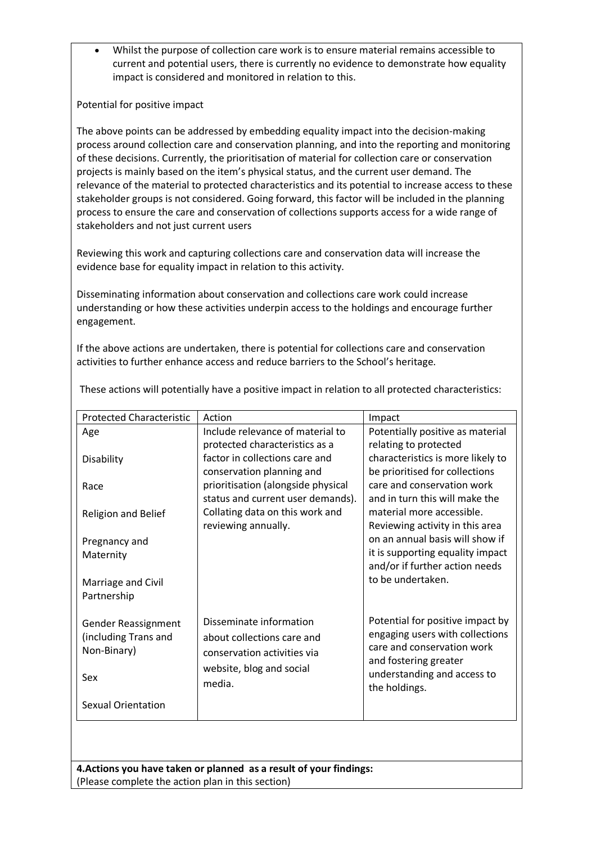• Whilst the purpose of collection care work is to ensure material remains accessible to current and potential users, there is currently no evidence to demonstrate how equality impact is considered and monitored in relation to this.

Potential for positive impact

The above points can be addressed by embedding equality impact into the decision-making process around collection care and conservation planning, and into the reporting and monitoring of these decisions. Currently, the prioritisation of material for collection care or conservation projects is mainly based on the item's physical status, and the current user demand. The relevance of the material to protected characteristics and its potential to increase access to these stakeholder groups is not considered. Going forward, this factor will be included in the planning process to ensure the care and conservation of collections supports access for a wide range of stakeholders and not just current users

Reviewing this work and capturing collections care and conservation data will increase the evidence base for equality impact in relation to this activity.

Disseminating information about conservation and collections care work could increase understanding or how these activities underpin access to the holdings and encourage further engagement.

If the above actions are undertaken, there is potential for collections care and conservation activities to further enhance access and reduce barriers to the School's heritage.

| <b>Protected Characteristic</b>   | Action                                                          | Impact                                                       |
|-----------------------------------|-----------------------------------------------------------------|--------------------------------------------------------------|
| Age                               | Include relevance of material to                                | Potentially positive as material                             |
|                                   | protected characteristics as a                                  | relating to protected                                        |
| Disability                        | factor in collections care and                                  | characteristics is more likely to                            |
|                                   | conservation planning and<br>prioritisation (alongside physical | be prioritised for collections<br>care and conservation work |
| Race                              | status and current user demands).                               | and in turn this will make the                               |
| Religion and Belief               | Collating data on this work and                                 | material more accessible.                                    |
|                                   | reviewing annually.                                             | Reviewing activity in this area                              |
| Pregnancy and                     |                                                                 | on an annual basis will show if                              |
| Maternity                         |                                                                 | it is supporting equality impact                             |
|                                   |                                                                 | and/or if further action needs<br>to be undertaken.          |
| Marriage and Civil<br>Partnership |                                                                 |                                                              |
|                                   |                                                                 |                                                              |
| Gender Reassignment               | Disseminate information                                         | Potential for positive impact by                             |
| (including Trans and              | about collections care and                                      | engaging users with collections                              |
| Non-Binary)                       | conservation activities via                                     | care and conservation work                                   |
|                                   | website, blog and social                                        | and fostering greater<br>understanding and access to         |
| Sex                               | media.                                                          | the holdings.                                                |
| Sexual Orientation                |                                                                 |                                                              |

These actions will potentially have a positive impact in relation to all protected characteristics:

**4.Actions you have taken or planned as a result of your findings:** (Please complete the action plan in this section)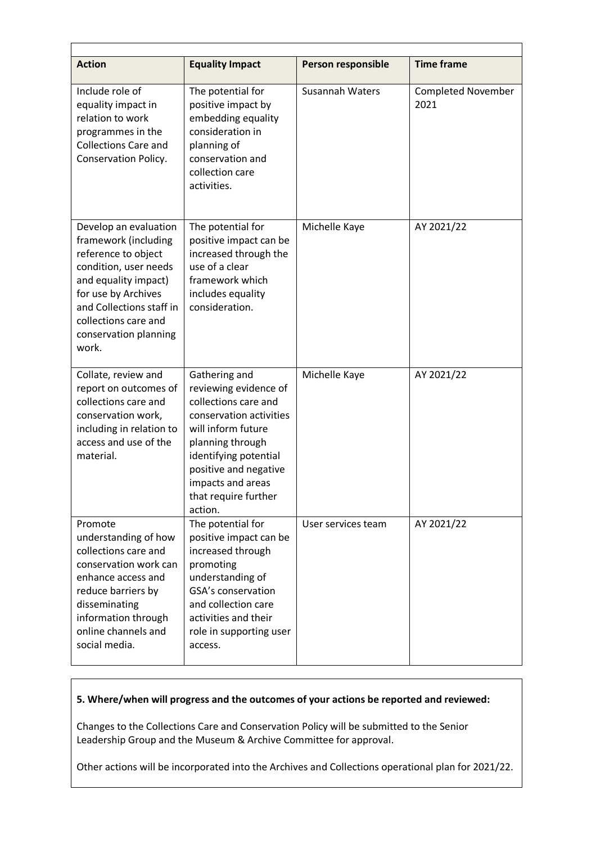| <b>Action</b>                                                                                                                                                                                                                      | <b>Equality Impact</b>                                                                                                                                                                                                                        | Person responsible | <b>Time frame</b>                 |
|------------------------------------------------------------------------------------------------------------------------------------------------------------------------------------------------------------------------------------|-----------------------------------------------------------------------------------------------------------------------------------------------------------------------------------------------------------------------------------------------|--------------------|-----------------------------------|
| Include role of<br>equality impact in<br>relation to work<br>programmes in the<br><b>Collections Care and</b><br>Conservation Policy.                                                                                              | The potential for<br>positive impact by<br>embedding equality<br>consideration in<br>planning of<br>conservation and<br>collection care<br>activities.                                                                                        | Susannah Waters    | <b>Completed November</b><br>2021 |
| Develop an evaluation<br>framework (including<br>reference to object<br>condition, user needs<br>and equality impact)<br>for use by Archives<br>and Collections staff in<br>collections care and<br>conservation planning<br>work. | The potential for<br>positive impact can be<br>increased through the<br>use of a clear<br>framework which<br>includes equality<br>consideration.                                                                                              | Michelle Kaye      | AY 2021/22                        |
| Collate, review and<br>report on outcomes of<br>collections care and<br>conservation work,<br>including in relation to<br>access and use of the<br>material.                                                                       | Gathering and<br>reviewing evidence of<br>collections care and<br>conservation activities<br>will inform future<br>planning through<br>identifying potential<br>positive and negative<br>impacts and areas<br>that require further<br>action. | Michelle Kaye      | AY 2021/22                        |
| Promote<br>understanding of how<br>collections care and<br>conservation work can<br>enhance access and<br>reduce barriers by<br>disseminating<br>information through<br>online channels and<br>social media.                       | The potential for<br>positive impact can be<br>increased through<br>promoting<br>understanding of<br>GSA's conservation<br>and collection care<br>activities and their<br>role in supporting user<br>access.                                  | User services team | AY 2021/22                        |

# **5. Where/when will progress and the outcomes of your actions be reported and reviewed:**

Changes to the Collections Care and Conservation Policy will be submitted to the Senior Leadership Group and the Museum & Archive Committee for approval.

Other actions will be incorporated into the Archives and Collections operational plan for 2021/22.